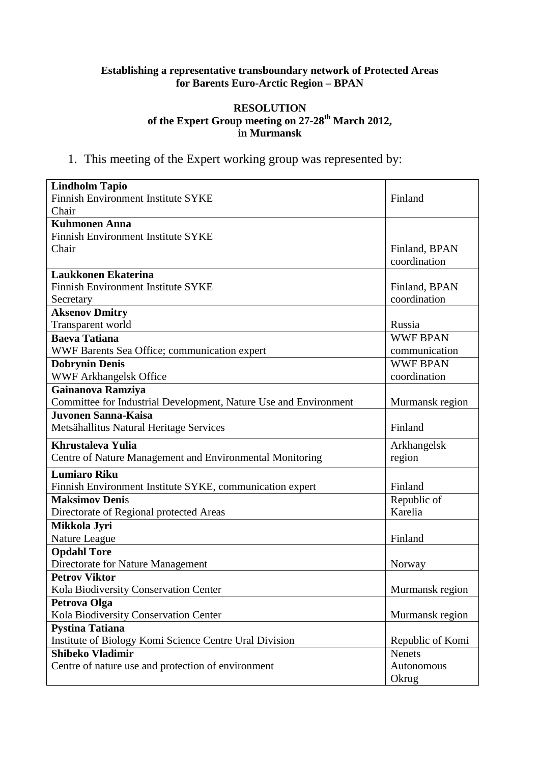# **Establishing a representative transboundary network of Protected Areas for Barents Euro-Arctic Region – BPAN**

## **RESOLUTION of the Expert Group meeting on 27-28th March 2012, in Murmansk**

1. This meeting of the Expert working group was represented by:

| <b>Lindholm Tapio</b>                                            |                               |
|------------------------------------------------------------------|-------------------------------|
| Finnish Environment Institute SYKE                               | Finland                       |
| Chair                                                            |                               |
| <b>Kuhmonen Anna</b>                                             |                               |
| <b>Finnish Environment Institute SYKE</b>                        |                               |
| Chair                                                            | Finland, BPAN<br>coordination |
| Laukkonen Ekaterina                                              |                               |
| <b>Finnish Environment Institute SYKE</b>                        | Finland, BPAN                 |
| Secretary                                                        | coordination                  |
| <b>Aksenov Dmitry</b>                                            |                               |
| Transparent world                                                | Russia                        |
| <b>Baeva Tatiana</b>                                             | <b>WWF BPAN</b>               |
| WWF Barents Sea Office; communication expert                     | communication                 |
| <b>Dobrynin Denis</b>                                            | <b>WWF BPAN</b>               |
| WWF Arkhangelsk Office                                           | coordination                  |
| Gainanova Ramziya                                                |                               |
| Committee for Industrial Development, Nature Use and Environment | Murmansk region               |
| <b>Juvonen Sanna-Kaisa</b>                                       |                               |
| Metsähallitus Natural Heritage Services                          | Finland                       |
| <b>Khrustaleva Yulia</b>                                         | Arkhangelsk                   |
| Centre of Nature Management and Environmental Monitoring         | region                        |
| <b>Lumiaro Riku</b>                                              |                               |
| Finnish Environment Institute SYKE, communication expert         | Finland                       |
| <b>Maksimov Denis</b>                                            | Republic of                   |
| Directorate of Regional protected Areas                          | Karelia                       |
| Mikkola Jyri                                                     |                               |
| Nature League                                                    | Finland                       |
| <b>Opdahl Tore</b>                                               |                               |
| Directorate for Nature Management                                | Norway                        |
| <b>Petrov Viktor</b>                                             |                               |
| Kola Biodiversity Conservation Center                            | Murmansk region               |
| Petrova Olga                                                     |                               |
| Kola Biodiversity Conservation Center                            | Murmansk region               |
| <b>Pystina Tatiana</b>                                           |                               |
| Institute of Biology Komi Science Centre Ural Division           | Republic of Komi              |
| <b>Shibeko Vladimir</b>                                          | <b>Nenets</b>                 |
| Centre of nature use and protection of environment               | Autonomous                    |
|                                                                  | Okrug                         |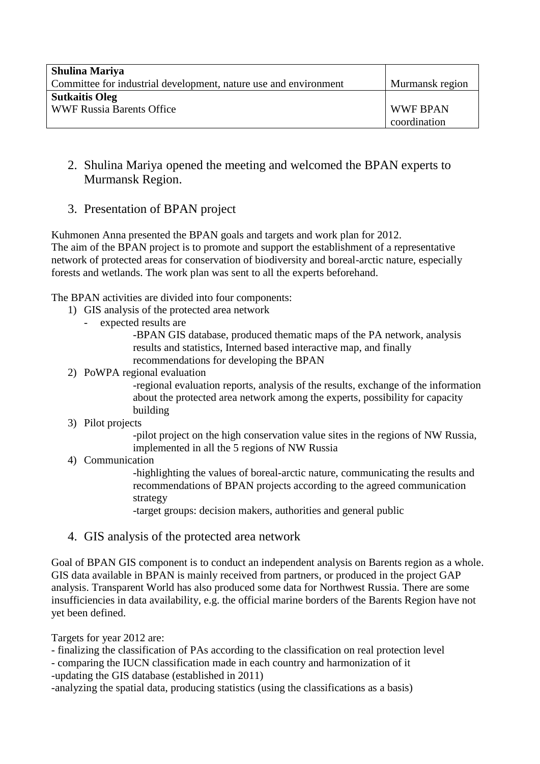| <b>Shulina Mariya</b>                                            |                 |
|------------------------------------------------------------------|-----------------|
| Committee for industrial development, nature use and environment | Murmansk region |
| <b>Sutkaitis Oleg</b>                                            |                 |
| <b>WWF Russia Barents Office</b>                                 | <b>WWF BPAN</b> |
|                                                                  | coordination    |

- 2. Shulina Mariya opened the meeting and welcomed the BPAN experts to Murmansk Region.
- 3. Presentation of BPAN project

Kuhmonen Anna presented the BPAN goals and targets and work plan for 2012. The aim of the BPAN project is to promote and support the establishment of a representative network of protected areas for conservation of biodiversity and boreal-arctic nature, especially forests and wetlands. The work plan was sent to all the experts beforehand.

The BPAN activities are divided into four components:

- 1) GIS analysis of the protected area network
	- expected results are

-BPAN GIS database, produced thematic maps of the PA network, analysis results and statistics, Interned based interactive map, and finally recommendations for developing the BPAN

#### 2) PoWPA regional evaluation

-regional evaluation reports, analysis of the results, exchange of the information about the protected area network among the experts, possibility for capacity building

3) Pilot projects

-pilot project on the high conservation value sites in the regions of NW Russia, implemented in all the 5 regions of NW Russia

4) Communication

-highlighting the values of boreal-arctic nature, communicating the results and recommendations of BPAN projects according to the agreed communication strategy

-target groups: decision makers, authorities and general public

4. GIS analysis of the protected area network

Goal of BPAN GIS component is to conduct an independent analysis on Barents region as a whole. GIS data available in BPAN is mainly received from partners, or produced in the project GAP analysis. Transparent World has also produced some data for Northwest Russia. There are some insufficiencies in data availability, e.g. the official marine borders of the Barents Region have not yet been defined.

Targets for year 2012 are:

- finalizing the classification of PAs according to the classification on real protection level

- comparing the IUCN classification made in each country and harmonization of it

-updating the GIS database (established in 2011)

-analyzing the spatial data, producing statistics (using the classifications as a basis)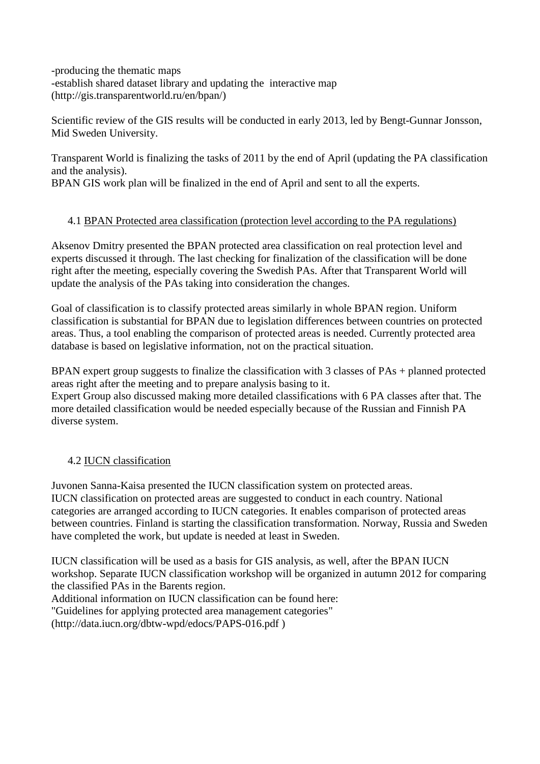-producing the thematic maps -establish shared dataset library and updating the interactive map (http://gis.transparentworld.ru/en/bpan/)

Scientific review of the GIS results will be conducted in early 2013, led by Bengt-Gunnar Jonsson, Mid Sweden University.

Transparent World is finalizing the tasks of 2011 by the end of April (updating the PA classification and the analysis). BPAN GIS work plan will be finalized in the end of April and sent to all the experts.

# 4.1 BPAN Protected area classification (protection level according to the PA regulations)

Aksenov Dmitry presented the BPAN protected area classification on real protection level and experts discussed it through. The last checking for finalization of the classification will be done right after the meeting, especially covering the Swedish PAs. After that Transparent World will update the analysis of the PAs taking into consideration the changes.

Goal of classification is to classify protected areas similarly in whole BPAN region. Uniform classification is substantial for BPAN due to legislation differences between countries on protected areas. Thus, a tool enabling the comparison of protected areas is needed. Currently protected area database is based on legislative information, not on the practical situation.

BPAN expert group suggests to finalize the classification with 3 classes of PAs + planned protected areas right after the meeting and to prepare analysis basing to it.

Expert Group also discussed making more detailed classifications with 6 PA classes after that. The more detailed classification would be needed especially because of the Russian and Finnish PA diverse system.

## 4.2 IUCN classification

Juvonen Sanna-Kaisa presented the IUCN classification system on protected areas. IUCN classification on protected areas are suggested to conduct in each country. National categories are arranged according to IUCN categories. It enables comparison of protected areas between countries. Finland is starting the classification transformation. Norway, Russia and Sweden have completed the work, but update is needed at least in Sweden.

IUCN classification will be used as a basis for GIS analysis, as well, after the BPAN IUCN workshop. Separate IUCN classification workshop will be organized in autumn 2012 for comparing the classified PAs in the Barents region. Additional information on IUCN classification can be found here: "Guidelines for applying protected area management categories" (http://data.iucn.org/dbtw-wpd/edocs/PAPS-016.pdf )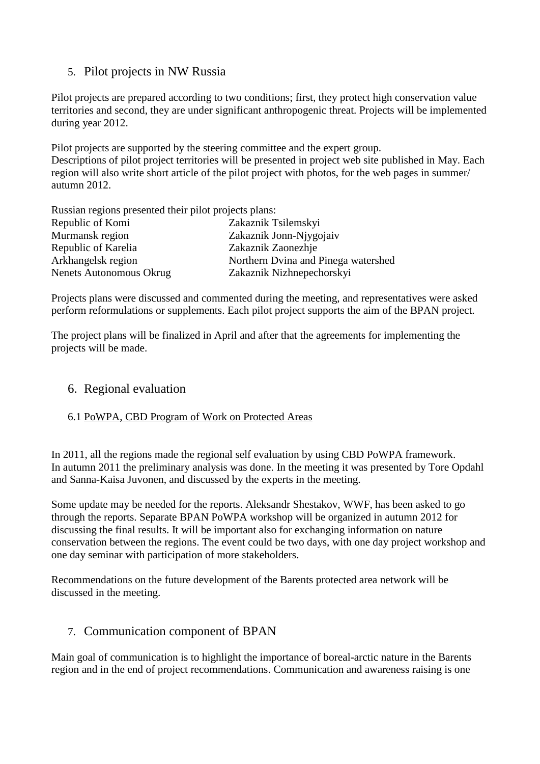# 5. Pilot projects in NW Russia

Pilot projects are prepared according to two conditions; first, they protect high conservation value territories and second, they are under significant anthropogenic threat. Projects will be implemented during year 2012.

Pilot projects are supported by the steering committee and the expert group. Descriptions of pilot project territories will be presented in project web site published in May. Each region will also write short article of the pilot project with photos, for the web pages in summer/ autumn 2012.

Russian regions presented their pilot projects plans: Republic of Komi Zakaznik Tsilemskyi Murmansk region Zakaznik Jonn-Njygojaiv Republic of Karelia Zakaznik Zaonezhje Arkhangelsk region Northern Dvina and Pinega watershed Nenets Autonomous Okrug Zakaznik Nizhnepechorskyi

Projects plans were discussed and commented during the meeting, and representatives were asked perform reformulations or supplements. Each pilot project supports the aim of the BPAN project.

The project plans will be finalized in April and after that the agreements for implementing the projects will be made.

# 6. Regional evaluation

# 6.1 PoWPA, CBD Program of Work on Protected Areas

In 2011, all the regions made the regional self evaluation by using CBD PoWPA framework. In autumn 2011 the preliminary analysis was done. In the meeting it was presented by Tore Opdahl and Sanna-Kaisa Juvonen, and discussed by the experts in the meeting.

Some update may be needed for the reports. Aleksandr Shestakov, WWF, has been asked to go through the reports. Separate BPAN PoWPA workshop will be organized in autumn 2012 for discussing the final results. It will be important also for exchanging information on nature conservation between the regions. The event could be two days, with one day project workshop and one day seminar with participation of more stakeholders.

Recommendations on the future development of the Barents protected area network will be discussed in the meeting.

# 7. Communication component of BPAN

Main goal of communication is to highlight the importance of boreal-arctic nature in the Barents region and in the end of project recommendations. Communication and awareness raising is one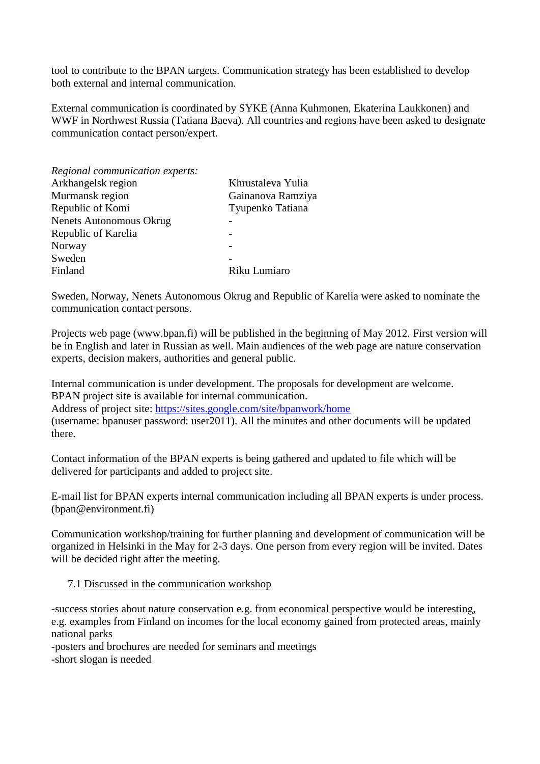tool to contribute to the BPAN targets. Communication strategy has been established to develop both external and internal communication.

External communication is coordinated by SYKE (Anna Kuhmonen, Ekaterina Laukkonen) and WWF in Northwest Russia (Tatiana Baeva). All countries and regions have been asked to designate communication contact person/expert.

| Regional communication experts: |                   |
|---------------------------------|-------------------|
| Arkhangelsk region              | Khrustaleva Yulia |
| Murmansk region                 | Gainanova Ramziya |
| Republic of Komi                | Tyupenko Tatiana  |
| <b>Nenets Autonomous Okrug</b>  |                   |
| Republic of Karelia             |                   |
| Norway                          |                   |
| Sweden                          |                   |
| Finland                         | Riku Lumiaro      |
|                                 |                   |

Sweden, Norway, Nenets Autonomous Okrug and Republic of Karelia were asked to nominate the communication contact persons.

Projects web page (www.bpan.fi) will be published in the beginning of May 2012. First version will be in English and later in Russian as well. Main audiences of the web page are nature conservation experts, decision makers, authorities and general public.

Internal communication is under development. The proposals for development are welcome. BPAN project site is available for internal communication.

Address of project site:<https://sites.google.com/site/bpanwork/home>

(username: bpanuser password: user2011). All the minutes and other documents will be updated there.

Contact information of the BPAN experts is being gathered and updated to file which will be delivered for participants and added to project site.

E-mail list for BPAN experts internal communication including all BPAN experts is under process. (bpan@environment.fi)

Communication workshop/training for further planning and development of communication will be organized in Helsinki in the May for 2-3 days. One person from every region will be invited. Dates will be decided right after the meeting.

#### 7.1 Discussed in the communication workshop

-success stories about nature conservation e.g. from economical perspective would be interesting, e.g. examples from Finland on incomes for the local economy gained from protected areas, mainly national parks

-posters and brochures are needed for seminars and meetings -short slogan is needed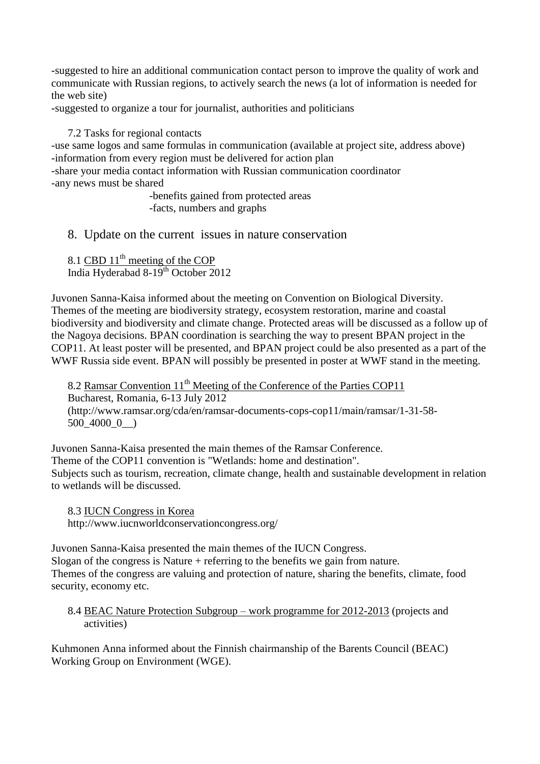-suggested to hire an additional communication contact person to improve the quality of work and communicate with Russian regions, to actively search the news (a lot of information is needed for the web site)

-suggested to organize a tour for journalist, authorities and politicians

7.2 Tasks for regional contacts

-use same logos and same formulas in communication (available at project site, address above) -information from every region must be delivered for action plan -share your media contact information with Russian communication coordinator

-any news must be shared

-benefits gained from protected areas -facts, numbers and graphs

8. Update on the current issues in nature conservation

8.1 CBD  $11^{th}$  meeting of the COP India Hyderabad 8-19<sup>th</sup> October 2012

Juvonen Sanna-Kaisa informed about the meeting on Convention on Biological Diversity. Themes of the meeting are biodiversity strategy, ecosystem restoration, marine and coastal biodiversity and biodiversity and climate change. Protected areas will be discussed as a follow up of the Nagoya decisions. BPAN coordination is searching the way to present BPAN project in the COP11. At least poster will be presented, and BPAN project could be also presented as a part of the WWF Russia side event. BPAN will possibly be presented in poster at WWF stand in the meeting.

8.2 Ramsar Convention 11<sup>th</sup> Meeting of the Conference of the Parties COP11 Bucharest, Romania, 6-13 July 2012 (http://www.ramsar.org/cda/en/ramsar-documents-cops-cop11/main/ramsar/1-31-58- 500\_4000\_0\_\_)

Juvonen Sanna-Kaisa presented the main themes of the Ramsar Conference. Theme of the COP11 convention is "Wetlands: home and destination". Subjects such as tourism, recreation, climate change, health and sustainable development in relation to wetlands will be discussed.

8.3 IUCN Congress in Korea http://www.iucnworldconservationcongress.org/

Juvonen Sanna-Kaisa presented the main themes of the IUCN Congress. Slogan of the congress is Nature + referring to the benefits we gain from nature. Themes of the congress are valuing and protection of nature, sharing the benefits, climate, food security, economy etc.

#### 8.4 BEAC Nature Protection Subgroup – work programme for 2012-2013 (projects and activities)

Kuhmonen Anna informed about the Finnish chairmanship of the Barents Council (BEAC) Working Group on Environment (WGE).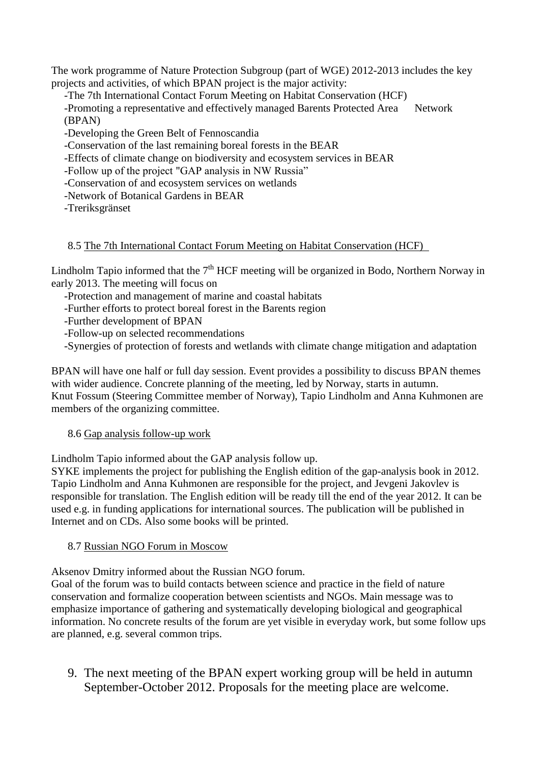The work programme of Nature Protection Subgroup (part of WGE) 2012-2013 includes the key projects and activities, of which BPAN project is the major activity:

-The 7th International Contact Forum Meeting on Habitat Conservation (HCF)

-Promoting a representative and effectively managed Barents Protected Area Network (BPAN)

-Developing the Green Belt of Fennoscandia

-Conservation of the last remaining boreal forests in the BEAR

-Effects of climate change on biodiversity and ecosystem services in BEAR

-Follow up of the project "GAP analysis in NW Russia"

-Conservation of and ecosystem services on wetlands

-Network of Botanical Gardens in BEAR

-Treriksgränset

## 8.5 The 7th International Contact Forum Meeting on Habitat Conservation (HCF)

Lindholm Tapio informed that the  $7<sup>th</sup> HCF$  meeting will be organized in Bodo, Northern Norway in early 2013. The meeting will focus on

-Protection and management of marine and coastal habitats

-Further efforts to protect boreal forest in the Barents region

-Further development of BPAN

-Follow-up on selected recommendations

-Synergies of protection of forests and wetlands with climate change mitigation and adaptation

BPAN will have one half or full day session. Event provides a possibility to discuss BPAN themes with wider audience. Concrete planning of the meeting, led by Norway, starts in autumn. Knut Fossum (Steering Committee member of Norway), Tapio Lindholm and Anna Kuhmonen are members of the organizing committee.

## 8.6 Gap analysis follow-up work

Lindholm Tapio informed about the GAP analysis follow up.

SYKE implements the project for publishing the English edition of the gap-analysis book in 2012. Tapio Lindholm and Anna Kuhmonen are responsible for the project, and Jevgeni Jakovlev is responsible for translation. The English edition will be ready till the end of the year 2012. It can be used e.g. in funding applications for international sources. The publication will be published in Internet and on CDs. Also some books will be printed.

## 8.7 Russian NGO Forum in Moscow

Aksenov Dmitry informed about the Russian NGO forum.

Goal of the forum was to build contacts between science and practice in the field of nature conservation and formalize cooperation between scientists and NGOs. Main message was to emphasize importance of gathering and systematically developing biological and geographical information. No concrete results of the forum are yet visible in everyday work, but some follow ups are planned, e.g. several common trips.

9. The next meeting of the BPAN expert working group will be held in autumn September-October 2012. Proposals for the meeting place are welcome.